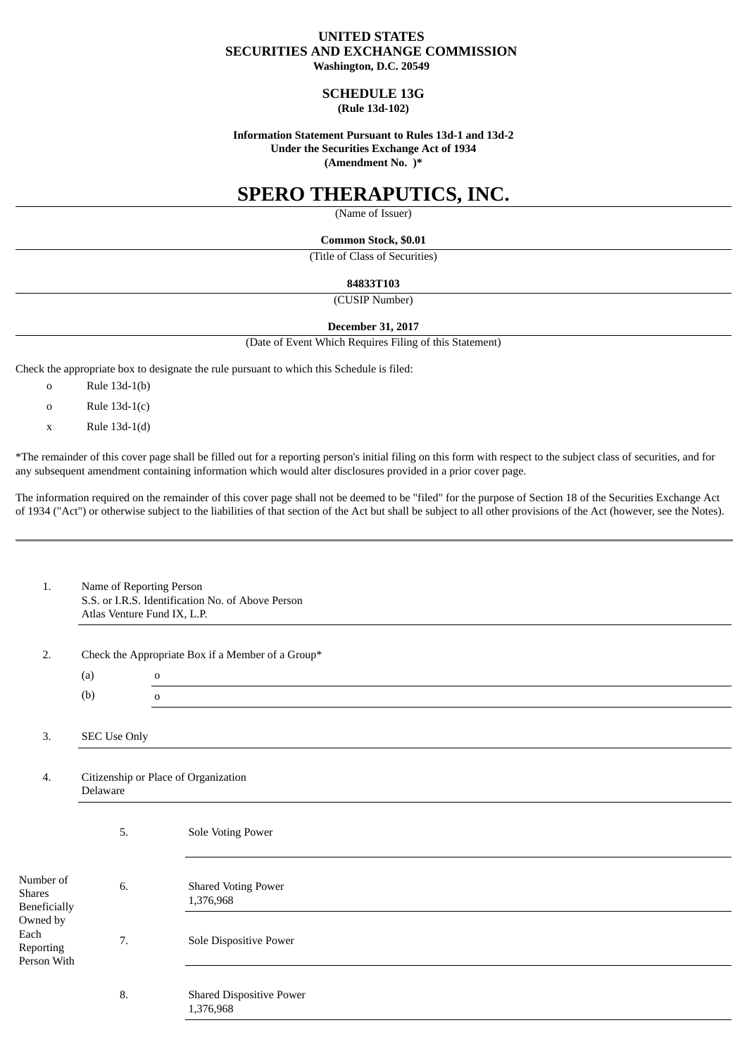## **UNITED STATES SECURITIES AND EXCHANGE COMMISSION Washington, D.C. 20549**

# **SCHEDULE 13G**

# **(Rule 13d-102)**

### **Information Statement Pursuant to Rules 13d-1 and 13d-2 Under the Securities Exchange Act of 1934 (Amendment No. )\***

# **SPERO THERAPUTICS, INC.**

(Name of Issuer)

**Common Stock, \$0.01**

(Title of Class of Securities)

**84833T103**

(CUSIP Number)

## **December 31, 2017**

(Date of Event Which Requires Filing of this Statement)

Check the appropriate box to designate the rule pursuant to which this Schedule is filed:

- o Rule 13d-1(b)
- o Rule 13d-1(c)
- x Rule 13d-1(d)

\*The remainder of this cover page shall be filled out for a reporting person's initial filing on this form with respect to the subject class of securities, and for any subsequent amendment containing information which would alter disclosures provided in a prior cover page.

The information required on the remainder of this cover page shall not be deemed to be "filed" for the purpose of Section 18 of the Securities Exchange Act of 1934 ("Act") or otherwise subject to the liabilities of that section of the Act but shall be subject to all other provisions of the Act (however, see the Notes).

| 1.                                                                                                | Name of Reporting Person<br>S.S. or I.R.S. Identification No. of Above Person<br>Atlas Venture Fund IX, L.P. |                                              |  |  |  |  |  |
|---------------------------------------------------------------------------------------------------|--------------------------------------------------------------------------------------------------------------|----------------------------------------------|--|--|--|--|--|
| 2.                                                                                                | Check the Appropriate Box if a Member of a Group*                                                            |                                              |  |  |  |  |  |
|                                                                                                   | (a)<br>$\mathbf 0$                                                                                           |                                              |  |  |  |  |  |
|                                                                                                   | (b)                                                                                                          | $\mathbf 0$                                  |  |  |  |  |  |
| 3.                                                                                                | SEC Use Only                                                                                                 |                                              |  |  |  |  |  |
| 4.                                                                                                | Citizenship or Place of Organization<br>Delaware                                                             |                                              |  |  |  |  |  |
| Number of<br><b>Shares</b><br><b>Beneficially</b><br>Owned by<br>Each<br>Reporting<br>Person With | 5.                                                                                                           | Sole Voting Power                            |  |  |  |  |  |
|                                                                                                   | 6.                                                                                                           | <b>Shared Voting Power</b><br>1,376,968      |  |  |  |  |  |
|                                                                                                   | 7.                                                                                                           | Sole Dispositive Power                       |  |  |  |  |  |
|                                                                                                   | 8.                                                                                                           | <b>Shared Dispositive Power</b><br>1,376,968 |  |  |  |  |  |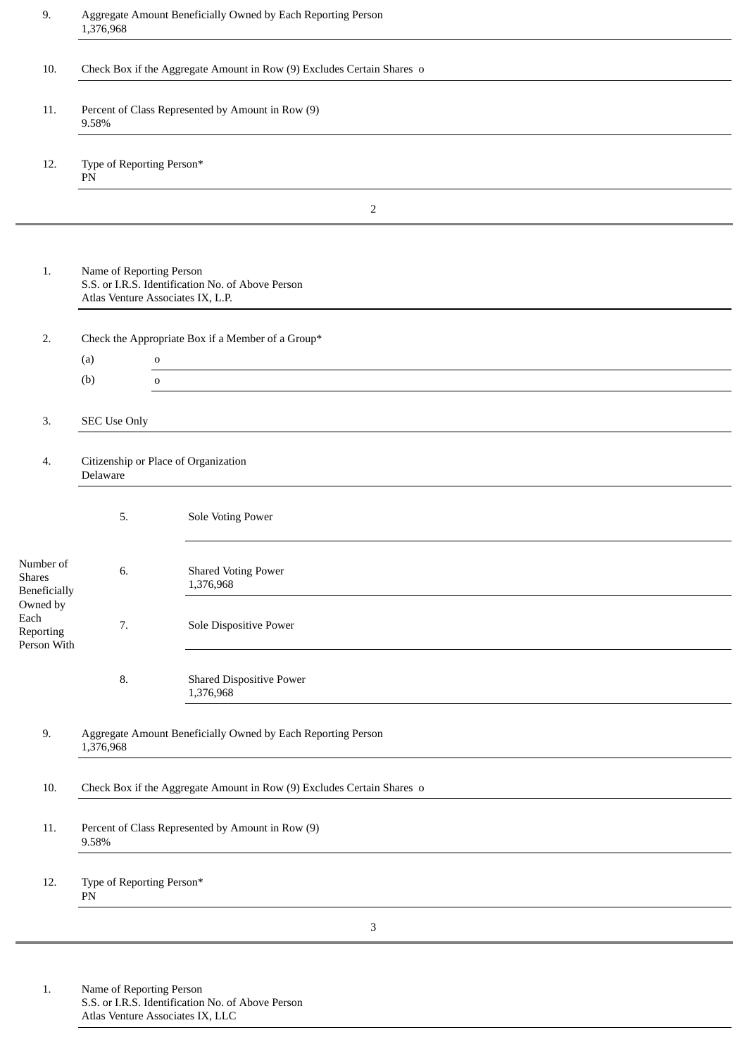| 9.                                           | Aggregate Amount Beneficially Owned by Each Reporting Person<br>1,376,968                                          |                                                             |  |  |  |  |  |
|----------------------------------------------|--------------------------------------------------------------------------------------------------------------------|-------------------------------------------------------------|--|--|--|--|--|
| 10.                                          | Check Box if the Aggregate Amount in Row (9) Excludes Certain Shares o                                             |                                                             |  |  |  |  |  |
| 11.                                          | Percent of Class Represented by Amount in Row (9)<br>9.58%                                                         |                                                             |  |  |  |  |  |
| 12.                                          | Type of Reporting Person*<br>${\rm PN}$                                                                            |                                                             |  |  |  |  |  |
|                                              |                                                                                                                    | $\overline{2}$                                              |  |  |  |  |  |
| 1.                                           | Name of Reporting Person<br>S.S. or I.R.S. Identification No. of Above Person<br>Atlas Venture Associates IX, L.P. |                                                             |  |  |  |  |  |
| 2.                                           | Check the Appropriate Box if a Member of a Group*                                                                  |                                                             |  |  |  |  |  |
|                                              | (a)<br>(b)                                                                                                         | $\mathbf 0$<br><u> 1989 - Jan Samuel Barbara, martin di</u> |  |  |  |  |  |
|                                              |                                                                                                                    | $\mathbf 0$                                                 |  |  |  |  |  |
| 3.                                           | <b>SEC Use Only</b>                                                                                                |                                                             |  |  |  |  |  |
| 4.                                           | Citizenship or Place of Organization<br>Delaware                                                                   |                                                             |  |  |  |  |  |
|                                              | 5.                                                                                                                 | <b>Sole Voting Power</b>                                    |  |  |  |  |  |
| Number of<br>Shares<br><b>Beneficially</b>   | 6.                                                                                                                 | <b>Shared Voting Power</b><br>1,376,968                     |  |  |  |  |  |
| Owned by<br>Each<br>Reporting<br>Person With | 7.                                                                                                                 | Sole Dispositive Power                                      |  |  |  |  |  |
|                                              | 8.                                                                                                                 | <b>Shared Dispositive Power</b><br>1,376,968                |  |  |  |  |  |
| 9.                                           | Aggregate Amount Beneficially Owned by Each Reporting Person<br>1,376,968                                          |                                                             |  |  |  |  |  |
| 10.                                          | Check Box if the Aggregate Amount in Row (9) Excludes Certain Shares o                                             |                                                             |  |  |  |  |  |
| 11.                                          | Percent of Class Represented by Amount in Row (9)<br>9.58%                                                         |                                                             |  |  |  |  |  |
| 12.                                          | Type of Reporting Person*<br>${\rm PN}$                                                                            |                                                             |  |  |  |  |  |
| 3                                            |                                                                                                                    |                                                             |  |  |  |  |  |
|                                              |                                                                                                                    |                                                             |  |  |  |  |  |

1. Name of Reporting Person S.S. or I.R.S. Identification No. of Above Person Atlas Venture Associates IX, LLC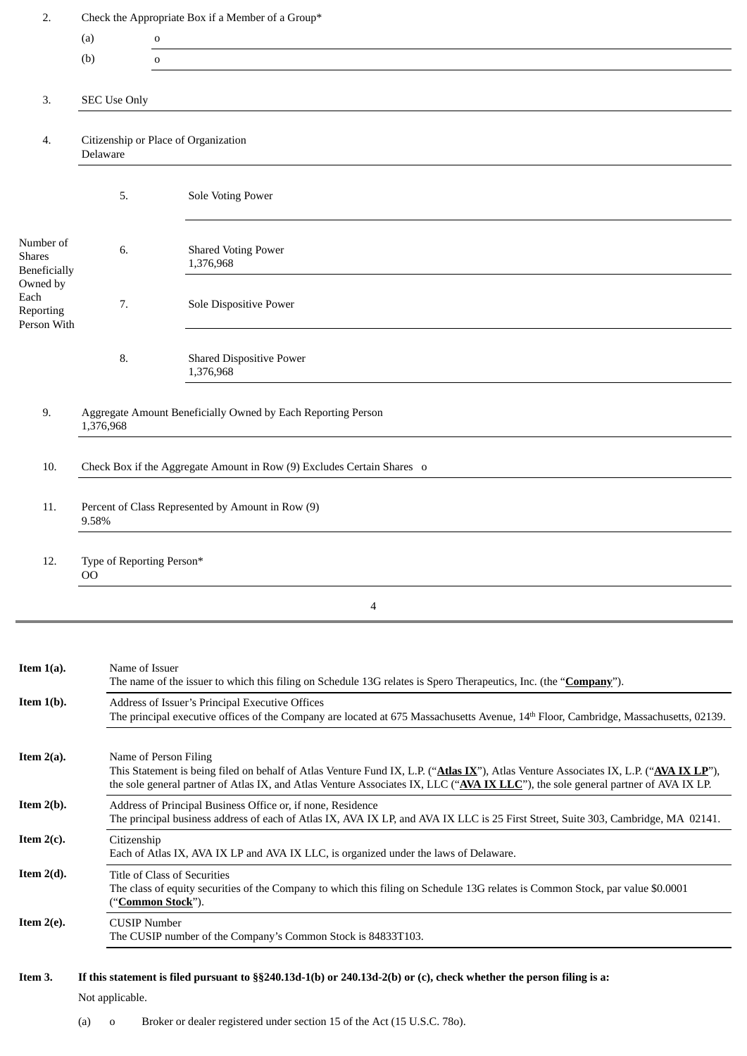| 2.                                           | Check the Appropriate Box if a Member of a Group*                                                                                                                                                                                                                                                   |                                              |  |  |  |  |
|----------------------------------------------|-----------------------------------------------------------------------------------------------------------------------------------------------------------------------------------------------------------------------------------------------------------------------------------------------------|----------------------------------------------|--|--|--|--|
|                                              | (a)<br>$\mathbf 0$                                                                                                                                                                                                                                                                                  |                                              |  |  |  |  |
|                                              | (b)                                                                                                                                                                                                                                                                                                 | $\mathbf 0$                                  |  |  |  |  |
|                                              |                                                                                                                                                                                                                                                                                                     |                                              |  |  |  |  |
| 3.                                           | <b>SEC Use Only</b>                                                                                                                                                                                                                                                                                 |                                              |  |  |  |  |
|                                              |                                                                                                                                                                                                                                                                                                     |                                              |  |  |  |  |
| 4.                                           | Citizenship or Place of Organization<br>Delaware                                                                                                                                                                                                                                                    |                                              |  |  |  |  |
|                                              | 5.                                                                                                                                                                                                                                                                                                  | <b>Sole Voting Power</b>                     |  |  |  |  |
| Number of<br><b>Shares</b><br>Beneficially   | 6.                                                                                                                                                                                                                                                                                                  | <b>Shared Voting Power</b><br>1,376,968      |  |  |  |  |
| Owned by<br>Each<br>Reporting<br>Person With | 7.                                                                                                                                                                                                                                                                                                  | Sole Dispositive Power                       |  |  |  |  |
|                                              | 8.                                                                                                                                                                                                                                                                                                  | <b>Shared Dispositive Power</b><br>1,376,968 |  |  |  |  |
| 9.                                           | Aggregate Amount Beneficially Owned by Each Reporting Person<br>1,376,968                                                                                                                                                                                                                           |                                              |  |  |  |  |
| 10.                                          | Check Box if the Aggregate Amount in Row (9) Excludes Certain Shares o                                                                                                                                                                                                                              |                                              |  |  |  |  |
| 11.                                          | Percent of Class Represented by Amount in Row (9)<br>9.58%                                                                                                                                                                                                                                          |                                              |  |  |  |  |
| 12.                                          | Type of Reporting Person*<br>UΟ.                                                                                                                                                                                                                                                                    |                                              |  |  |  |  |
|                                              |                                                                                                                                                                                                                                                                                                     | 4                                            |  |  |  |  |
| Item $1(a)$ .                                | Name of Issuer<br>The name of the issuer to which this filing on Schedule 13G relates is Spero Therapeutics, Inc. (the "Company").                                                                                                                                                                  |                                              |  |  |  |  |
| Item $1(b)$ .                                | Address of Issuer's Principal Executive Offices<br>The principal executive offices of the Company are located at 675 Massachusetts Avenue, 14th Floor, Cambridge, Massachusetts, 02139.                                                                                                             |                                              |  |  |  |  |
| Item $2(a)$ .                                | Name of Person Filing<br>This Statement is being filed on behalf of Atlas Venture Fund IX, L.P. ("Atlas IX"), Atlas Venture Associates IX, L.P. ("AVA IX LP"),<br>the sole general partner of Atlas IX, and Atlas Venture Associates IX, LLC ("AVA IX LLC"), the sole general partner of AVA IX LP. |                                              |  |  |  |  |
| Item $2(b)$ .                                | Address of Principal Business Office or, if none, Residence<br>The principal business address of each of Atlas IX, AVA IX LP, and AVA IX LLC is 25 First Street, Suite 303, Cambridge, MA 02141.                                                                                                    |                                              |  |  |  |  |
| Item $2(c)$ .                                | Citizenship<br>Each of Atlas IX, AVA IX LP and AVA IX LLC, is organized under the laws of Delaware.                                                                                                                                                                                                 |                                              |  |  |  |  |
| Item $2(d)$ .                                | Title of Class of Securities<br>The class of equity securities of the Company to which this filing on Schedule 13G relates is Common Stock, par value \$0.0001<br>("Common Stock").                                                                                                                 |                                              |  |  |  |  |
| Item $2(e)$ .                                | <b>CUSIP Number</b><br>The CUSIP number of the Company's Common Stock is 84833T103.                                                                                                                                                                                                                 |                                              |  |  |  |  |
| Item 3.                                      | If this statement is filed pursuant to §§240.13d-1(b) or 240.13d-2(b) or (c), check whether the person filing is a:<br>Not applicable.                                                                                                                                                              |                                              |  |  |  |  |

(a) o Broker or dealer registered under section 15 of the Act (15 U.S.C. 78o).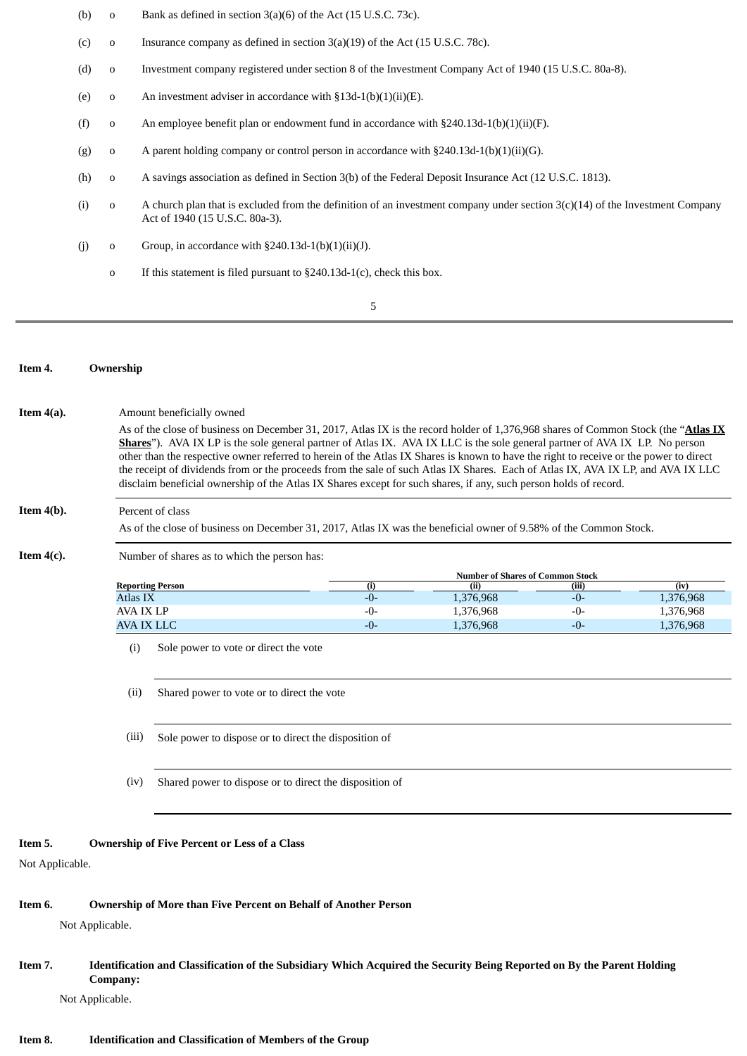- (b) o Bank as defined in section 3(a)(6) of the Act (15 U.S.C. 73c).
- (c) o Insurance company as defined in section 3(a)(19) of the Act (15 U.S.C. 78c).
- (d) o Investment company registered under section 8 of the Investment Company Act of 1940 (15 U.S.C. 80a-8).
- (e) o An investment adviser in accordance with  $§13d-1(b)(1)(ii)(E)$ .
- (f) o An employee benefit plan or endowment fund in accordance with  $\S 240.13d-1(b)(1)(ii)(F)$ .
- (g) o A parent holding company or control person in accordance with  $\S240.13d-1(b)(1)(ii)(G)$ .
- (h) o A savings association as defined in Section 3(b) of the Federal Deposit Insurance Act (12 U.S.C. 1813).
- (i) o A church plan that is excluded from the definition of an investment company under section  $3(c)(14)$  of the Investment Company Act of 1940 (15 U.S.C. 80a-3).
- (j) o Group, in accordance with  $\S 240.13d-1(b)(1)(ii)(J)$ .
	- o If this statement is filed pursuant to §240.13d-1(c), check this box.
		- 5

#### **Item 4. Ownership**

As of the close of business on December 31, 2017, Atlas IX is the record holder of 1,376,968 shares of Common Stock (the "**Atlas IX Shares**"). AVA IX LP is the sole general partner of Atlas IX. AVA IX LLC is the sole general partner of AVA IX LP. No person other than the respective owner referred to herein of the Atlas IX Shares is known to have the right to receive or the power to direct the receipt of dividends from or the proceeds from the sale of such Atlas IX Shares. Each of Atlas IX, AVA IX LP, and AVA IX LLC disclaim beneficial ownership of the Atlas IX Shares except for such shares, if any, such person holds of record.

# **Item 4(b).** Percent of class

**Item 4(a).** Amount beneficially owned

As of the close of business on December 31, 2017, Atlas IX was the beneficial owner of 9.58% of the Common Stock.

**Item 4(c).** Number of shares as to which the person has:

|                  | <b>Number of Shares of Common Stock</b> |           |       |           |  |
|------------------|-----------------------------------------|-----------|-------|-----------|--|
| Reporting Person |                                         | (ii       | (iii) | (iv       |  |
| Atlas IX         | -0-                                     | 1,376,968 | -0-   | 1,376,968 |  |
| AVA IX LP        | $-0-$                                   | 1,376,968 | -0-   | 1,376,968 |  |
| AVA IX LLC       | $-()$                                   | 1,376,968 | -0-   | 1,376,968 |  |

(i) Sole power to vote or direct the vote

(ii) Shared power to vote or to direct the vote

- (iii) Sole power to dispose or to direct the disposition of
- (iv) Shared power to dispose or to direct the disposition of

## **Item 5. Ownership of Five Percent or Less of a Class**

Not Applicable.

### **Item 6. Ownership of More than Five Percent on Behalf of Another Person**

Not Applicable.

# Item 7. Identification and Classification of the Subsidiary Which Acquired the Security Being Reported on By the Parent Holding **Company:**

Not Applicable.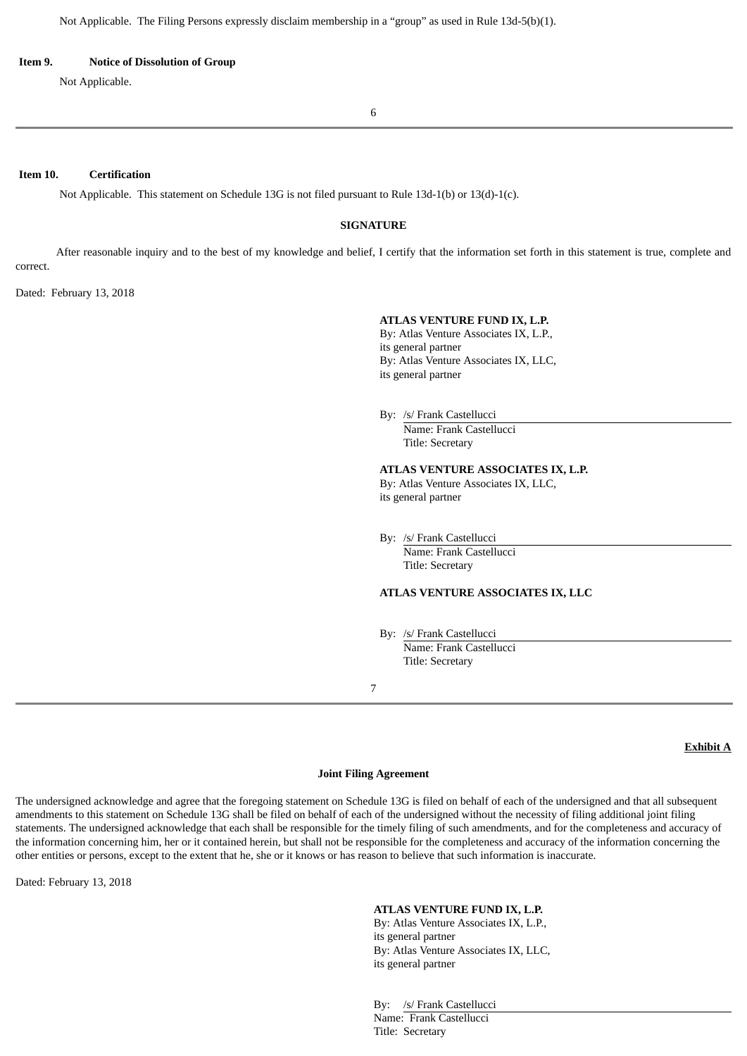#### **Item 9. Notice of Dissolution of Group**

Not Applicable.

6

## **Item 10. Certification**

Not Applicable. This statement on Schedule 13G is not filed pursuant to Rule 13d-1(b) or 13(d)-1(c).

## **SIGNATURE**

After reasonable inquiry and to the best of my knowledge and belief, I certify that the information set forth in this statement is true, complete and correct.

Dated: February 13, 2018

#### **ATLAS VENTURE FUND IX, L.P.**

By: Atlas Venture Associates IX, L.P., its general partner By: Atlas Venture Associates IX, LLC, its general partner

By: /s/ Frank Castellucci Name: Frank Castellucci

Title: Secretary

#### **ATLAS VENTURE ASSOCIATES IX, L.P.**

By: Atlas Venture Associates IX, LLC, its general partner

By: /s/ Frank Castellucci Name: Frank Castellucci Title: Secretary

### **ATLAS VENTURE ASSOCIATES IX, LLC**

By: /s/ Frank Castellucci Name: Frank Castellucci Title: Secretary

#### 7

# **Exhibit A**

### **Joint Filing Agreement**

The undersigned acknowledge and agree that the foregoing statement on Schedule 13G is filed on behalf of each of the undersigned and that all subsequent amendments to this statement on Schedule 13G shall be filed on behalf of each of the undersigned without the necessity of filing additional joint filing statements. The undersigned acknowledge that each shall be responsible for the timely filing of such amendments, and for the completeness and accuracy of the information concerning him, her or it contained herein, but shall not be responsible for the completeness and accuracy of the information concerning the other entities or persons, except to the extent that he, she or it knows or has reason to believe that such information is inaccurate.

Dated: February 13, 2018

#### **ATLAS VENTURE FUND IX, L.P.**

By: Atlas Venture Associates IX, L.P., its general partner By: Atlas Venture Associates IX, LLC, its general partner

By: /s/ Frank Castellucci Name: Frank Castellucci Title: Secretary